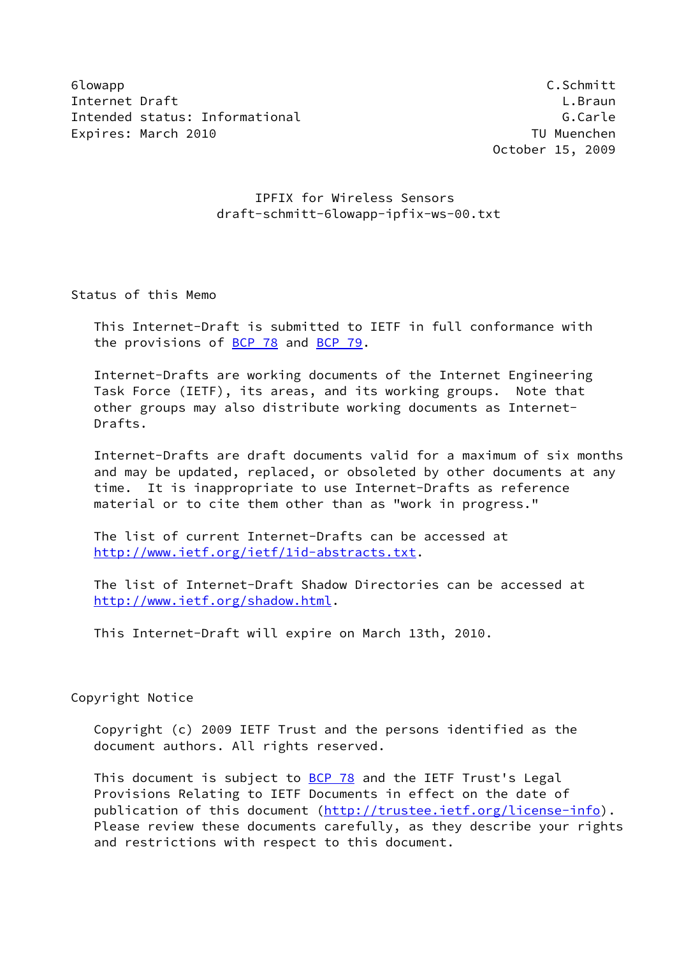6lowapp C.Schmitt Internet Draft **L.Braun** Intended status: Informational G.Carle Expires: March 2010 TU Muenchen

October 15, 2009

# IPFIX for Wireless Sensors draft-schmitt-6lowapp-ipfix-ws-00.txt

Status of this Memo

 This Internet-Draft is submitted to IETF in full conformance with the provisions of [BCP 78](https://datatracker.ietf.org/doc/pdf/bcp78) and [BCP 79](https://datatracker.ietf.org/doc/pdf/bcp79).

 Internet-Drafts are working documents of the Internet Engineering Task Force (IETF), its areas, and its working groups. Note that other groups may also distribute working documents as Internet- Drafts.

 Internet-Drafts are draft documents valid for a maximum of six months and may be updated, replaced, or obsoleted by other documents at any time. It is inappropriate to use Internet-Drafts as reference material or to cite them other than as "work in progress."

 The list of current Internet-Drafts can be accessed at <http://www.ietf.org/ietf/1id-abstracts.txt>.

 The list of Internet-Draft Shadow Directories can be accessed at <http://www.ietf.org/shadow.html>.

This Internet-Draft will expire on March 13th, 2010.

Copyright Notice

 Copyright (c) 2009 IETF Trust and the persons identified as the document authors. All rights reserved.

This document is subject to **[BCP 78](https://datatracker.ietf.org/doc/pdf/bcp78)** and the IETF Trust's Legal Provisions Relating to IETF Documents in effect on the date of publication of this document [\(http://trustee.ietf.org/license-info](http://trustee.ietf.org/license-info)). Please review these documents carefully, as they describe your rights and restrictions with respect to this document.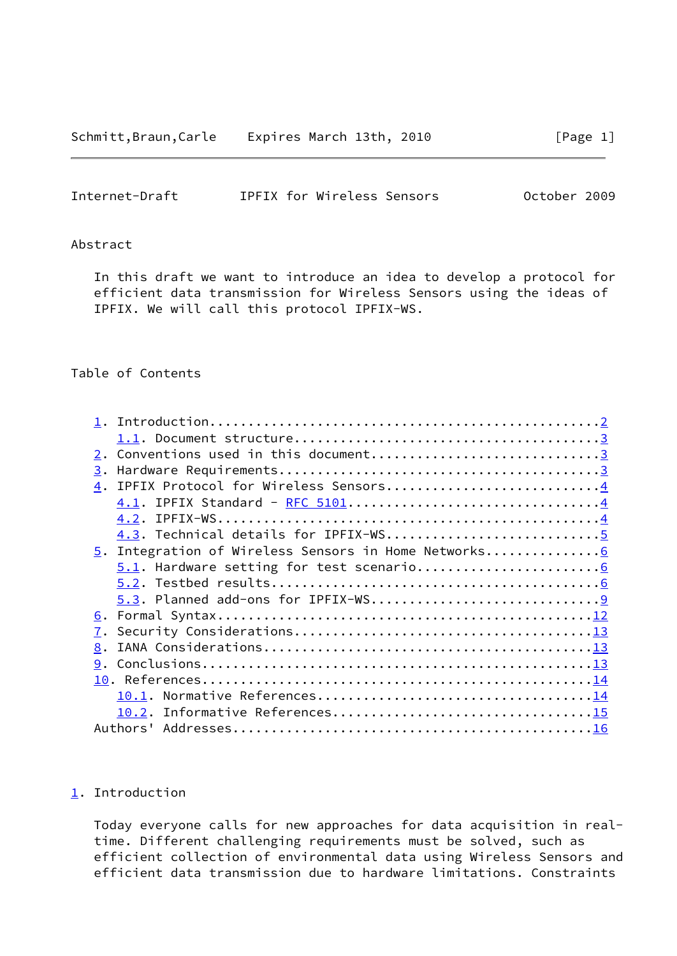<span id="page-1-1"></span>

| Internet-Draft |  | IPFIX for Wireless Sensors | October 2009 |  |
|----------------|--|----------------------------|--------------|--|
|                |  |                            |              |  |

## Abstract

 In this draft we want to introduce an idea to develop a protocol for efficient data transmission for Wireless Sensors using the ideas of IPFIX. We will call this protocol IPFIX-WS.

### Table of Contents

| 3.                                                   |  |
|------------------------------------------------------|--|
| 4. IPFIX Protocol for Wireless Sensors4              |  |
|                                                      |  |
| 4.1. IPFIX Standard - RFC 51014                      |  |
| 4.2.                                                 |  |
| 4.3. Technical details for IPFIX-WS5                 |  |
| 5. Integration of Wireless Sensors in Home Networks6 |  |
|                                                      |  |
|                                                      |  |
|                                                      |  |
|                                                      |  |
|                                                      |  |
| 8.                                                   |  |
|                                                      |  |
|                                                      |  |
|                                                      |  |
|                                                      |  |
|                                                      |  |
| Authors'                                             |  |
|                                                      |  |

## <span id="page-1-0"></span>[1](#page-1-0). Introduction

 Today everyone calls for new approaches for data acquisition in real time. Different challenging requirements must be solved, such as efficient collection of environmental data using Wireless Sensors and efficient data transmission due to hardware limitations. Constraints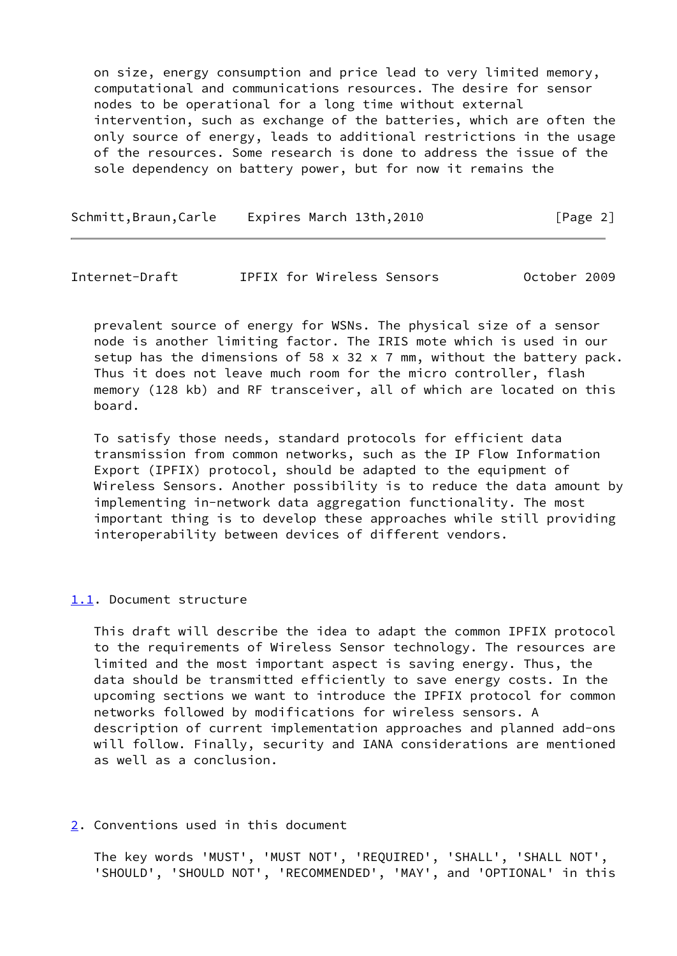on size, energy consumption and price lead to very limited memory, computational and communications resources. The desire for sensor nodes to be operational for a long time without external intervention, such as exchange of the batteries, which are often the only source of energy, leads to additional restrictions in the usage of the resources. Some research is done to address the issue of the sole dependency on battery power, but for now it remains the

| Schmitt, Braun, Carle |  | Expires March 13th,2010 | [Page 2] |
|-----------------------|--|-------------------------|----------|
|-----------------------|--|-------------------------|----------|

<span id="page-2-1"></span>Internet-Draft IPFIX for Wireless Sensors October 2009

 prevalent source of energy for WSNs. The physical size of a sensor node is another limiting factor. The IRIS mote which is used in our setup has the dimensions of 58  $\times$  32  $\times$  7 mm, without the battery pack. Thus it does not leave much room for the micro controller, flash memory (128 kb) and RF transceiver, all of which are located on this board.

 To satisfy those needs, standard protocols for efficient data transmission from common networks, such as the IP Flow Information Export (IPFIX) protocol, should be adapted to the equipment of Wireless Sensors. Another possibility is to reduce the data amount by implementing in-network data aggregation functionality. The most important thing is to develop these approaches while still providing interoperability between devices of different vendors.

### <span id="page-2-0"></span>[1.1](#page-2-0). Document structure

 This draft will describe the idea to adapt the common IPFIX protocol to the requirements of Wireless Sensor technology. The resources are limited and the most important aspect is saving energy. Thus, the data should be transmitted efficiently to save energy costs. In the upcoming sections we want to introduce the IPFIX protocol for common networks followed by modifications for wireless sensors. A description of current implementation approaches and planned add-ons will follow. Finally, security and IANA considerations are mentioned as well as a conclusion.

<span id="page-2-2"></span>[2](#page-2-2). Conventions used in this document

 The key words 'MUST', 'MUST NOT', 'REQUIRED', 'SHALL', 'SHALL NOT', 'SHOULD', 'SHOULD NOT', 'RECOMMENDED', 'MAY', and 'OPTIONAL' in this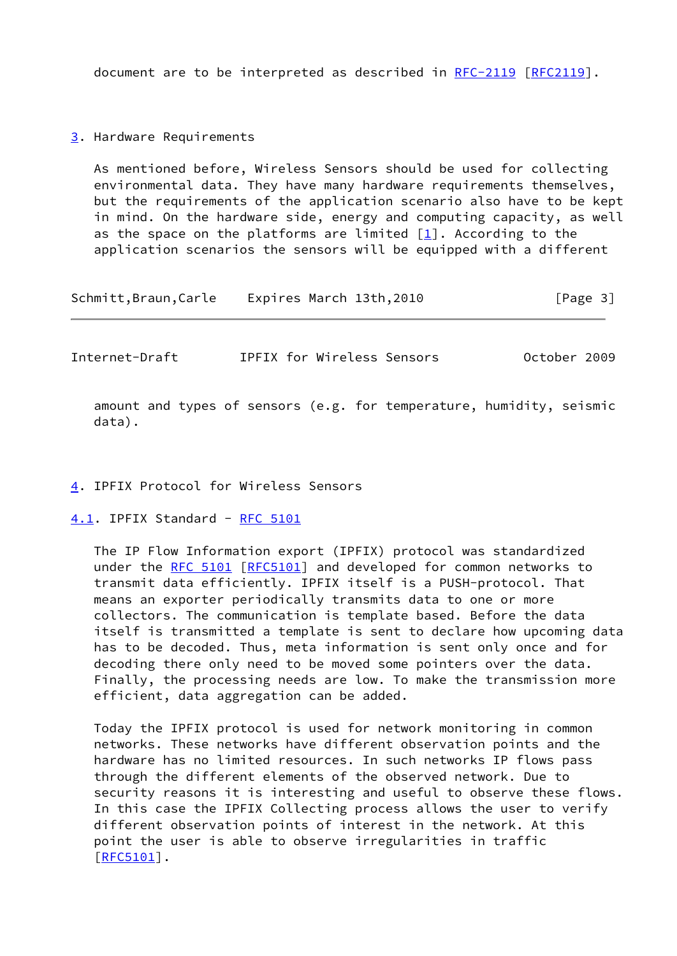document are to be interpreted as described in [RFC-2119 \[RFC2119](https://datatracker.ietf.org/doc/pdf/rfc2119)].

<span id="page-3-0"></span>[3](#page-3-0). Hardware Requirements

 As mentioned before, Wireless Sensors should be used for collecting environmental data. They have many hardware requirements themselves, but the requirements of the application scenario also have to be kept in mind. On the hardware side, energy and computing capacity, as well as the space on the platforms are limited  $[1]$  $[1]$ . According to the application scenarios the sensors will be equipped with a different

Schmitt,Braun,Carle Expires March 13th,2010 [Page 3]

<span id="page-3-2"></span>Internet-Draft IPFIX for Wireless Sensors October 2009

 amount and types of sensors (e.g. for temperature, humidity, seismic data).

### <span id="page-3-1"></span>[4](#page-3-1). IPFIX Protocol for Wireless Sensors

<span id="page-3-3"></span>[4.1](#page-3-3). IPFIX Standard - [RFC 5101](https://datatracker.ietf.org/doc/pdf/rfc5101)

 The IP Flow Information export (IPFIX) protocol was standardized under the [RFC 5101](https://datatracker.ietf.org/doc/pdf/rfc5101) [[RFC5101\]](https://datatracker.ietf.org/doc/pdf/rfc5101) and developed for common networks to transmit data efficiently. IPFIX itself is a PUSH-protocol. That means an exporter periodically transmits data to one or more collectors. The communication is template based. Before the data itself is transmitted a template is sent to declare how upcoming data has to be decoded. Thus, meta information is sent only once and for decoding there only need to be moved some pointers over the data. Finally, the processing needs are low. To make the transmission more efficient, data aggregation can be added.

 Today the IPFIX protocol is used for network monitoring in common networks. These networks have different observation points and the hardware has no limited resources. In such networks IP flows pass through the different elements of the observed network. Due to security reasons it is interesting and useful to observe these flows. In this case the IPFIX Collecting process allows the user to verify different observation points of interest in the network. At this point the user is able to observe irregularities in traffic [\[RFC5101](https://datatracker.ietf.org/doc/pdf/rfc5101)].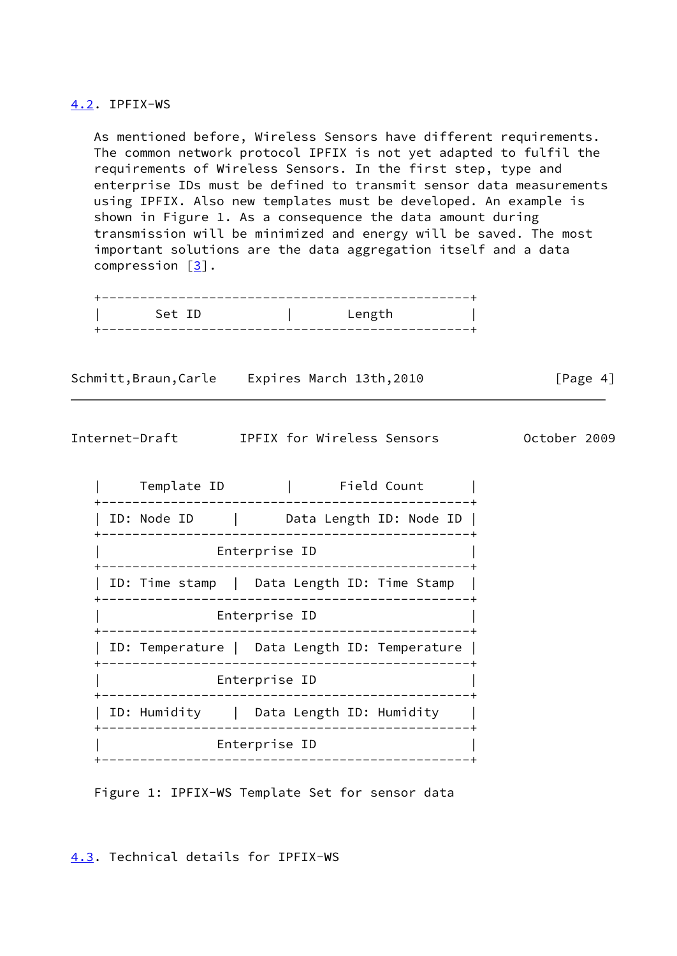### <span id="page-4-0"></span>[4.2](#page-4-0). IPFIX-WS

 As mentioned before, Wireless Sensors have different requirements. The common network protocol IPFIX is not yet adapted to fulfil the requirements of Wireless Sensors. In the first step, type and enterprise IDs must be defined to transmit sensor data measurements using IPFIX. Also new templates must be developed. An example is shown in Figure 1. As a consequence the data amount during transmission will be minimized and energy will be saved. The most important solutions are the data aggregation itself and a data compression [\[3](#page-16-1)].

| Set ID | Leng |
|--------|------|

| Schmitt, Braun, Carle | Expires March 13th,2010 | [Page 4] |
|-----------------------|-------------------------|----------|
|                       |                         |          |

<span id="page-4-2"></span>Internet-Draft IPFIX for Wireless Sensors October 2009

| Template ID                             | Field Count                                               |  |  |  |  |
|-----------------------------------------|-----------------------------------------------------------|--|--|--|--|
| ID: Node ID<br>and the control of       | Data Length ID: Node ID                                   |  |  |  |  |
| Enterprise ID                           |                                                           |  |  |  |  |
|                                         | ID: Time stamp   Data Length ID: Time Stamp<br>__________ |  |  |  |  |
|                                         | Enterprise ID                                             |  |  |  |  |
|                                         | ID: Temperature   Data Length ID: Temperature             |  |  |  |  |
| Enterprise ID                           |                                                           |  |  |  |  |
| ID: Humidity   Data Length ID: Humidity | ___________                                               |  |  |  |  |
| Enterprise ID                           |                                                           |  |  |  |  |
|                                         |                                                           |  |  |  |  |

Figure 1: IPFIX-WS Template Set for sensor data

<span id="page-4-1"></span>[4.3](#page-4-1). Technical details for IPFIX-WS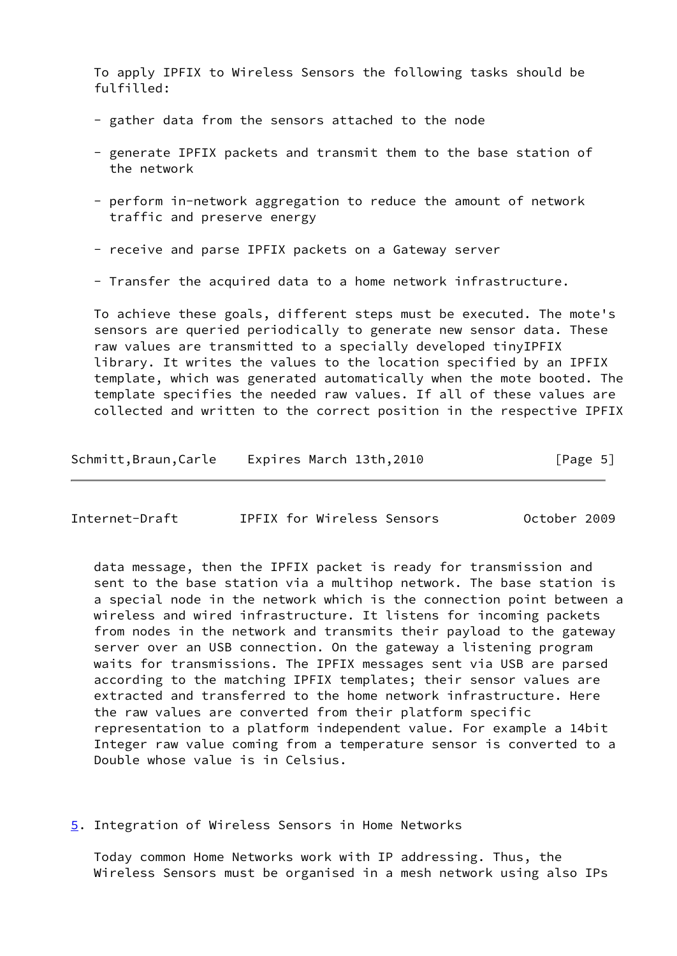To apply IPFIX to Wireless Sensors the following tasks should be fulfilled:

- gather data from the sensors attached to the node
- generate IPFIX packets and transmit them to the base station of the network
- perform in-network aggregation to reduce the amount of network traffic and preserve energy
- receive and parse IPFIX packets on a Gateway server
- Transfer the acquired data to a home network infrastructure.

 To achieve these goals, different steps must be executed. The mote's sensors are queried periodically to generate new sensor data. These raw values are transmitted to a specially developed tinyIPFIX library. It writes the values to the location specified by an IPFIX template, which was generated automatically when the mote booted. The template specifies the needed raw values. If all of these values are collected and written to the correct position in the respective IPFIX

| Schmitt, Braun, Carle | Expires March 13th,2010 |  | [Page 5] |
|-----------------------|-------------------------|--|----------|
|-----------------------|-------------------------|--|----------|

<span id="page-5-1"></span>

| Internet-Draft |  |  | IPFIX for Wireless Sensors |  | October 2009 |  |
|----------------|--|--|----------------------------|--|--------------|--|
|----------------|--|--|----------------------------|--|--------------|--|

 data message, then the IPFIX packet is ready for transmission and sent to the base station via a multihop network. The base station is a special node in the network which is the connection point between a wireless and wired infrastructure. It listens for incoming packets from nodes in the network and transmits their payload to the gateway server over an USB connection. On the gateway a listening program waits for transmissions. The IPFIX messages sent via USB are parsed according to the matching IPFIX templates; their sensor values are extracted and transferred to the home network infrastructure. Here the raw values are converted from their platform specific representation to a platform independent value. For example a 14bit Integer raw value coming from a temperature sensor is converted to a Double whose value is in Celsius.

<span id="page-5-0"></span>[5](#page-5-0). Integration of Wireless Sensors in Home Networks

 Today common Home Networks work with IP addressing. Thus, the Wireless Sensors must be organised in a mesh network using also IPs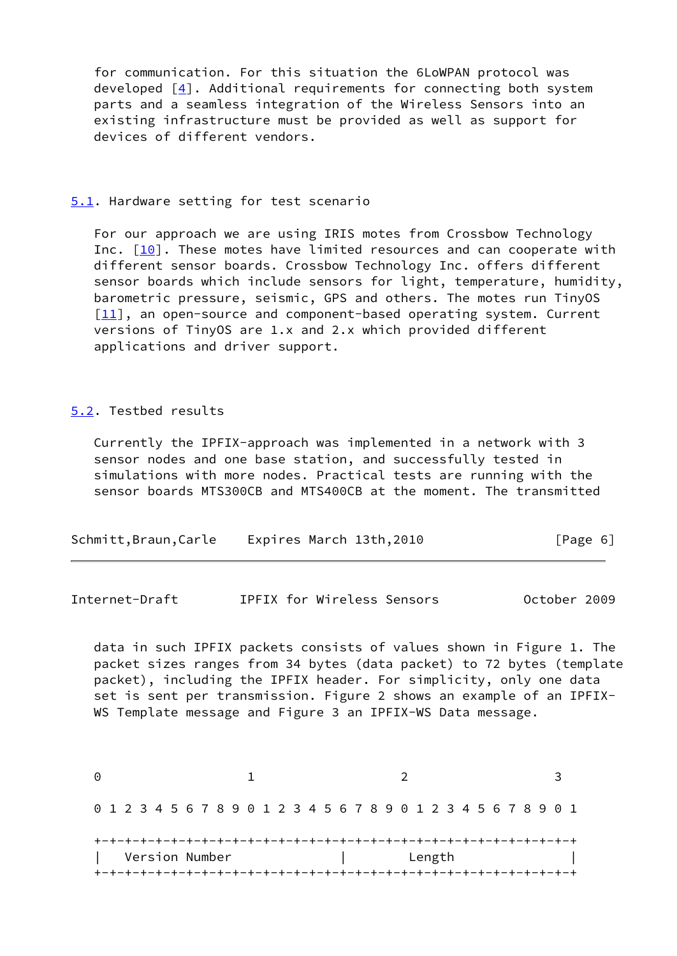for communication. For this situation the 6LoWPAN protocol was developed  $[4]$  $[4]$ . Additional requirements for connecting both system parts and a seamless integration of the Wireless Sensors into an existing infrastructure must be provided as well as support for devices of different vendors.

#### <span id="page-6-0"></span>[5.1](#page-6-0). Hardware setting for test scenario

 For our approach we are using IRIS motes from Crossbow Technology Inc.  $[10]$ . These motes have limited resources and can cooperate with different sensor boards. Crossbow Technology Inc. offers different sensor boards which include sensors for light, temperature, humidity, barometric pressure, seismic, GPS and others. The motes run TinyOS [\[11\]](#page-15-3), an open-source and component-based operating system. Current versions of TinyOS are 1.x and 2.x which provided different applications and driver support.

### <span id="page-6-1"></span>[5.2](#page-6-1). Testbed results

 Currently the IPFIX-approach was implemented in a network with 3 sensor nodes and one base station, and successfully tested in simulations with more nodes. Practical tests are running with the sensor boards MTS300CB and MTS400CB at the moment. The transmitted

Internet-Draft IPFIX for Wireless Sensors October 2009

 data in such IPFIX packets consists of values shown in Figure 1. The packet sizes ranges from 34 bytes (data packet) to 72 bytes (template packet), including the IPFIX header. For simplicity, only one data set is sent per transmission. Figure 2 shows an example of an IPFIX- WS Template message and Figure 3 an IPFIX-WS Data message.

0 1 2 3 0 1 2 3 4 5 6 7 8 9 0 1 2 3 4 5 6 7 8 9 0 1 2 3 4 5 6 7 8 9 0 1 +-+-+-+-+-+-+-+-+-+-+-+-+-+-+-+-+-+-+-+-+-+-+-+-+-+-+-+-+-+-+-+ | Version Number | Length | +-+-+-+-+-+-+-+-+-+-+-+-+-+-+-+-+-+-+-+-+-+-+-+-+-+-+-+-+-+-+-+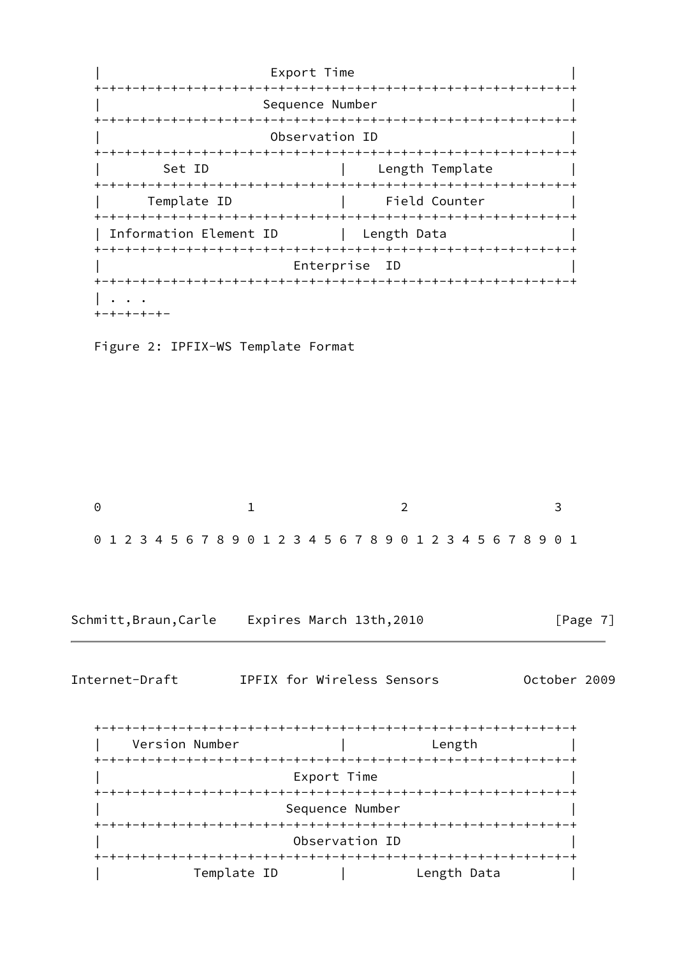

Figure 2: IPFIX-WS Template Format

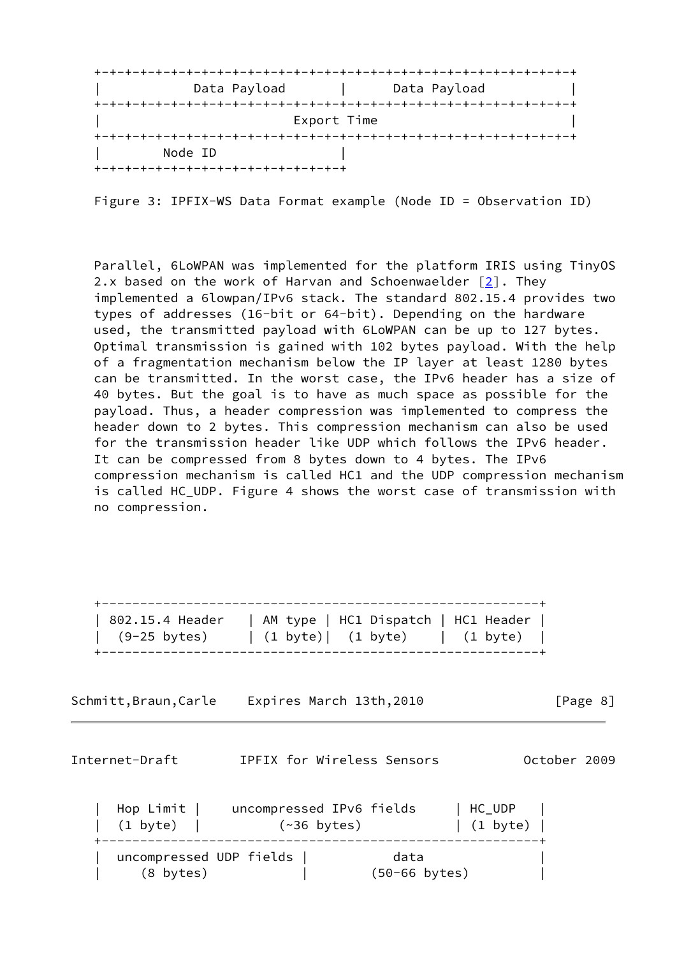| Data Payload                        |             | Data Payload |  |
|-------------------------------------|-------------|--------------|--|
|                                     |             |              |  |
|                                     | Export Time |              |  |
|                                     |             |              |  |
| Node ID                             |             |              |  |
| +-+-+-+-+-+-+-+-+-+-+-+-+-+-+-+-+-+ |             |              |  |

Figure 3: IPFIX-WS Data Format example (Node ID = Observation ID)

 Parallel, 6LoWPAN was implemented for the platform IRIS using TinyOS 2.x based on the work of Harvan and Schoenwaelder  $[2]$  $[2]$ . They implemented a 6lowpan/IPv6 stack. The standard 802.15.4 provides two types of addresses (16-bit or 64-bit). Depending on the hardware used, the transmitted payload with 6LoWPAN can be up to 127 bytes. Optimal transmission is gained with 102 bytes payload. With the help of a fragmentation mechanism below the IP layer at least 1280 bytes can be transmitted. In the worst case, the IPv6 header has a size of 40 bytes. But the goal is to have as much space as possible for the payload. Thus, a header compression was implemented to compress the header down to 2 bytes. This compression mechanism can also be used for the transmission header like UDP which follows the IPv6 header. It can be compressed from 8 bytes down to 4 bytes. The IPv6 compression mechanism is called HC1 and the UDP compression mechanism is called HC\_UDP. Figure 4 shows the worst case of transmission with no compression.

| 802.15.4 Header | AM type   HC1 Dispatch   HC1 Header |          |
|-----------------|-------------------------------------|----------|
| (9-25 bytes)    | (1 byte)  (1 byte)                  | (1 byte) |

Schmitt,Braun,Carle Expires March 13th,2010 [Page 8]

<span id="page-8-0"></span>Internet-Draft IPFIX for Wireless Sensors October 2009

| Hop Limit  <br>  (1 byte) |                         | uncompressed IPv6 fields<br>$(\sim 36$ bytes) | HC_UDP<br>$\vert$ (1 byte) $\vert$ |
|---------------------------|-------------------------|-----------------------------------------------|------------------------------------|
| (8 bytes)                 | uncompressed UDP fields | data<br>$(50 - 66 \text{ bytes})$             |                                    |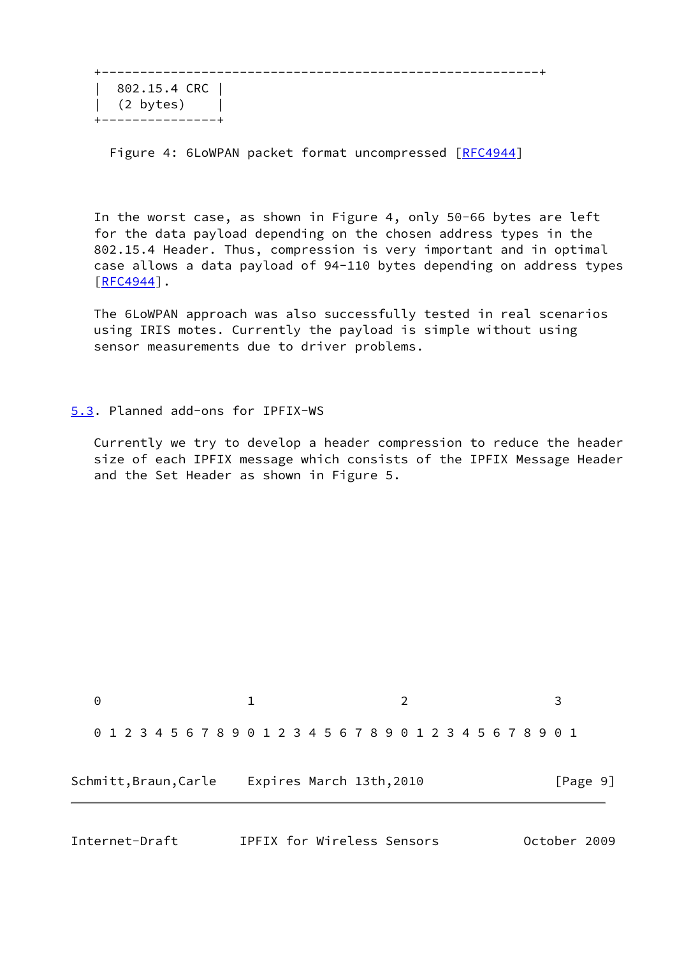| 802.15.4 CRC |  $(2 \text{ bytes})$  |  $- - +$ 

Figure 4: 6LoWPAN packet format uncompressed [\[RFC4944](https://datatracker.ietf.org/doc/pdf/rfc4944)]

 In the worst case, as shown in Figure 4, only 50-66 bytes are left for the data payload depending on the chosen address types in the 802.15.4 Header. Thus, compression is very important and in optimal case allows a data payload of 94-110 bytes depending on address types  $[REC4944]$ .

 The 6LoWPAN approach was also successfully tested in real scenarios using IRIS motes. Currently the payload is simple without using sensor measurements due to driver problems.

### <span id="page-9-0"></span>[5.3](#page-9-0). Planned add-ons for IPFIX-WS

 Currently we try to develop a header compression to reduce the header size of each IPFIX message which consists of the IPFIX Message Header and the Set Header as shown in Figure 5.



Internet-Draft IPFIX for Wireless Sensors October 2009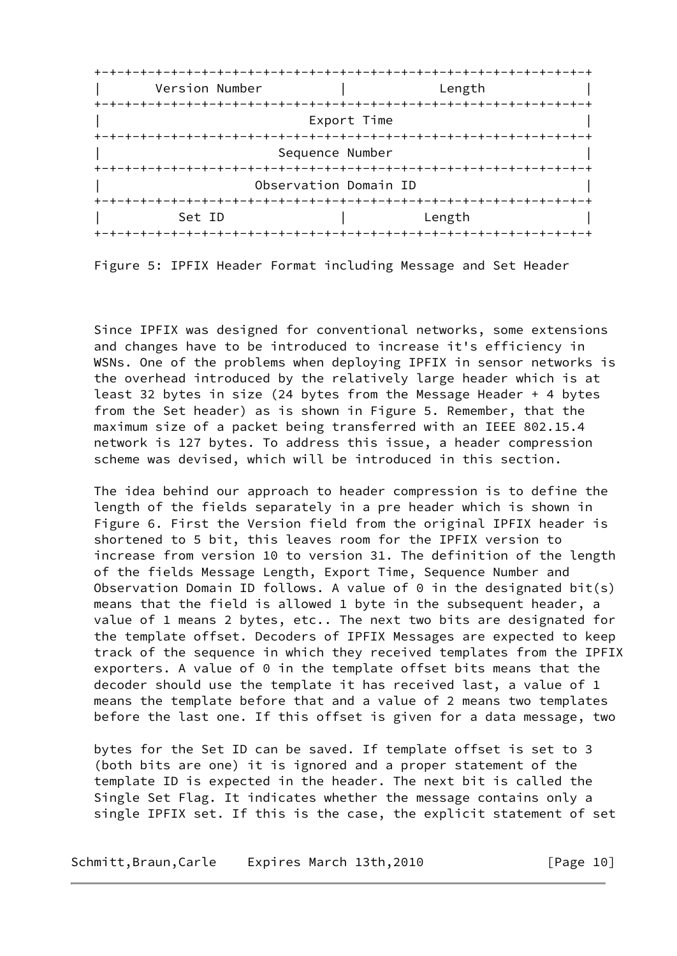| Version Number | Length                  |
|----------------|-------------------------|
|                |                         |
|                | Export Time             |
|                | +-+-+-+-+-+-+-          |
|                | Sequence Number         |
|                |                         |
|                | Observation Domain ID   |
| +-+-+-+-+-+-+  |                         |
| Set ID         | Length                  |
|                | -+-+-+-+-+-+-+-+-+-+-+- |

Figure 5: IPFIX Header Format including Message and Set Header

 Since IPFIX was designed for conventional networks, some extensions and changes have to be introduced to increase it's efficiency in WSNs. One of the problems when deploying IPFIX in sensor networks is the overhead introduced by the relatively large header which is at least 32 bytes in size (24 bytes from the Message Header + 4 bytes from the Set header) as is shown in Figure 5. Remember, that the maximum size of a packet being transferred with an IEEE 802.15.4 network is 127 bytes. To address this issue, a header compression scheme was devised, which will be introduced in this section.

 The idea behind our approach to header compression is to define the length of the fields separately in a pre header which is shown in Figure 6. First the Version field from the original IPFIX header is shortened to 5 bit, this leaves room for the IPFIX version to increase from version 10 to version 31. The definition of the length of the fields Message Length, Export Time, Sequence Number and Observation Domain ID follows. A value of  $\theta$  in the designated bit(s) means that the field is allowed 1 byte in the subsequent header, a value of 1 means 2 bytes, etc.. The next two bits are designated for the template offset. Decoders of IPFIX Messages are expected to keep track of the sequence in which they received templates from the IPFIX exporters. A value of 0 in the template offset bits means that the decoder should use the template it has received last, a value of 1 means the template before that and a value of 2 means two templates before the last one. If this offset is given for a data message, two

 bytes for the Set ID can be saved. If template offset is set to 3 (both bits are one) it is ignored and a proper statement of the template ID is expected in the header. The next bit is called the Single Set Flag. It indicates whether the message contains only a single IPFIX set. If this is the case, the explicit statement of set

Schmitt,Braun,Carle Expires March 13th,2010 [Page 10]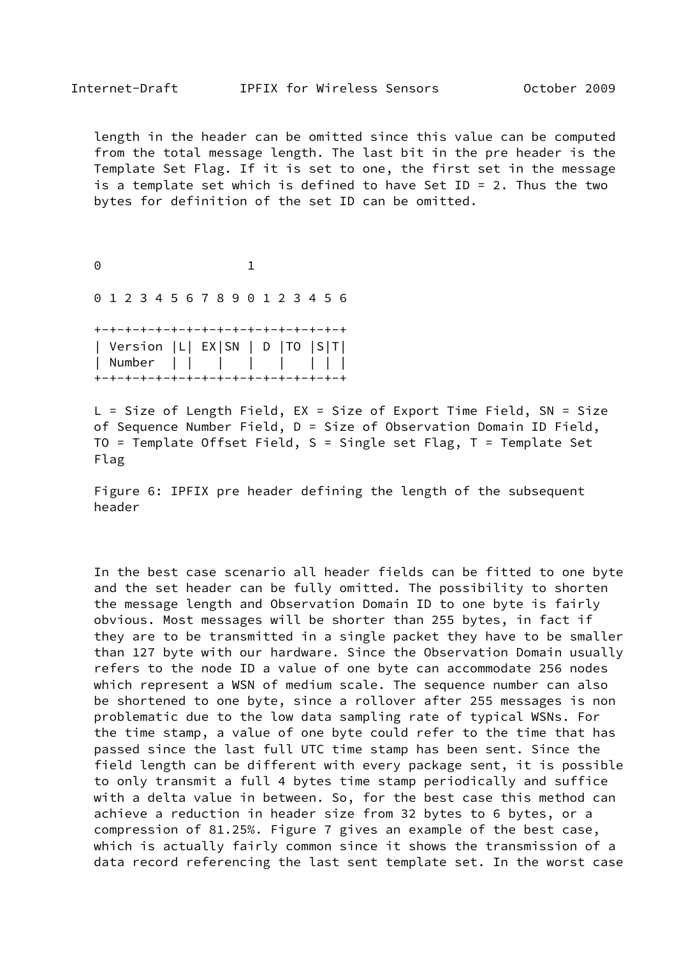length in the header can be omitted since this value can be computed from the total message length. The last bit in the pre header is the Template Set Flag. If it is set to one, the first set in the message is a template set which is defined to have Set ID = 2. Thus the two bytes for definition of the set ID can be omitted.

0 1

0 1 2 3 4 5 6 7 8 9 0 1 2 3 4 5 6

 +-+-+-+-+-+-+-+-+-+-+-+-+-+-+-+-+ | Version |L| EX|SN | D |TO |S|T| | Number | | | | | | | | | +-+-+-+-+-+-+-+-+-+-+-+-+-+-+-+-+

 L = Size of Length Field, EX = Size of Export Time Field, SN = Size of Sequence Number Field, D = Size of Observation Domain ID Field, TO = Template Offset Field, S = Single set Flag, T = Template Set Flag

 Figure 6: IPFIX pre header defining the length of the subsequent header

 In the best case scenario all header fields can be fitted to one byte and the set header can be fully omitted. The possibility to shorten the message length and Observation Domain ID to one byte is fairly obvious. Most messages will be shorter than 255 bytes, in fact if they are to be transmitted in a single packet they have to be smaller than 127 byte with our hardware. Since the Observation Domain usually refers to the node ID a value of one byte can accommodate 256 nodes which represent a WSN of medium scale. The sequence number can also be shortened to one byte, since a rollover after 255 messages is non problematic due to the low data sampling rate of typical WSNs. For the time stamp, a value of one byte could refer to the time that has passed since the last full UTC time stamp has been sent. Since the field length can be different with every package sent, it is possible to only transmit a full 4 bytes time stamp periodically and suffice with a delta value in between. So, for the best case this method can achieve a reduction in header size from 32 bytes to 6 bytes, or a compression of 81.25%. Figure 7 gives an example of the best case, which is actually fairly common since it shows the transmission of a data record referencing the last sent template set. In the worst case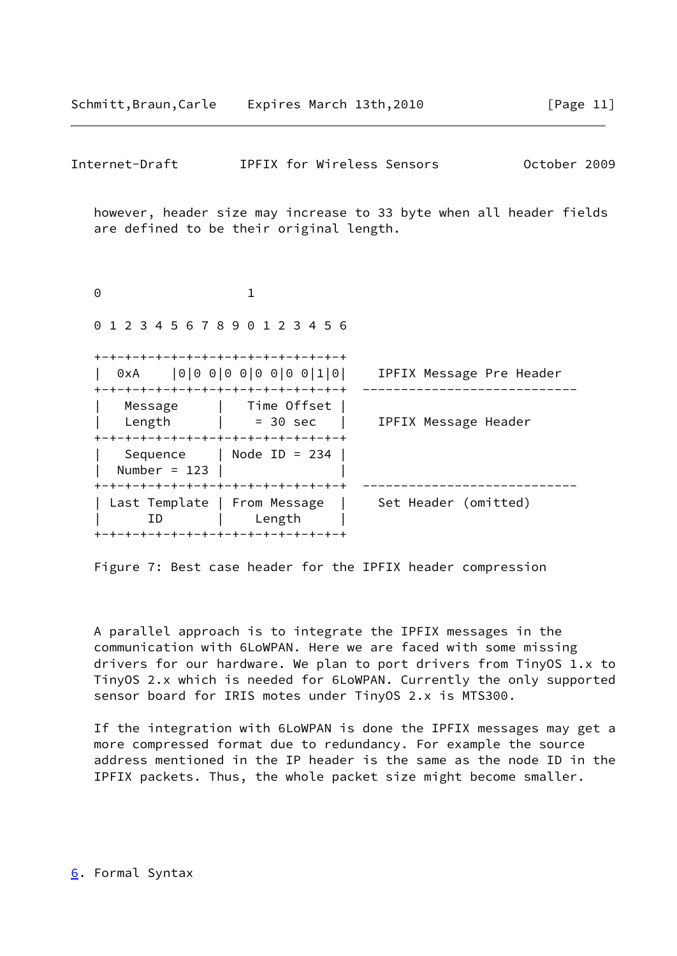<span id="page-12-1"></span>

| Schmitt,Braun,Carle Expires March 13th,2010                                                                              |                            |                                                                     | [Page $11$ ] |
|--------------------------------------------------------------------------------------------------------------------------|----------------------------|---------------------------------------------------------------------|--------------|
| Internet-Draft                                                                                                           | IPFIX for Wireless Sensors |                                                                     | October 2009 |
| are defined to be their original length.                                                                                 |                            | however, header size may increase to 33 byte when all header fields |              |
| 0                                                                                                                        | 1                          |                                                                     |              |
| 0 1 2 3 4 5 6 7 8 9 0 1 2 3 4 5 6                                                                                        |                            |                                                                     |              |
| -+-+-+-+-+-+-+-+-+-+-+-+-+-+-+-+-+<br>0xA   0   0   0   0   0   0   0   0   1   0  <br>+-+-+-+-+-+-+-+-+-+-+-+-+-+-+-+-+ |                            | IPFIX Message Pre Header                                            |              |
| Message   Time Offset  <br>Length $ $ = 30 sec<br>+-+-+-+-+-+-+-+-+-+-+-+-+-+-+-+-+                                      |                            | IPFIX Message Header                                                |              |
| Sequence   Node ID = 234<br>Number = $123$  <br>+-+-+-+-+-+-+-+-+-+-+-+-+-+-+-+-+                                        |                            |                                                                     |              |
| Last Template   From Message  <br>ID<br>+-+-+-+-+-+-+-+-+-+-+-+-+-+-+-+-+                                                | Length                     | Set Header (omitted)                                                |              |

Figure 7: Best case header for the IPFIX header compression

 A parallel approach is to integrate the IPFIX messages in the communication with 6LoWPAN. Here we are faced with some missing drivers for our hardware. We plan to port drivers from TinyOS 1.x to TinyOS 2.x which is needed for 6LoWPAN. Currently the only supported sensor board for IRIS motes under TinyOS 2.x is MTS300.

<span id="page-12-0"></span> If the integration with 6LoWPAN is done the IPFIX messages may get a more compressed format due to redundancy. For example the source address mentioned in the IP header is the same as the node ID in the IPFIX packets. Thus, the whole packet size might become smaller.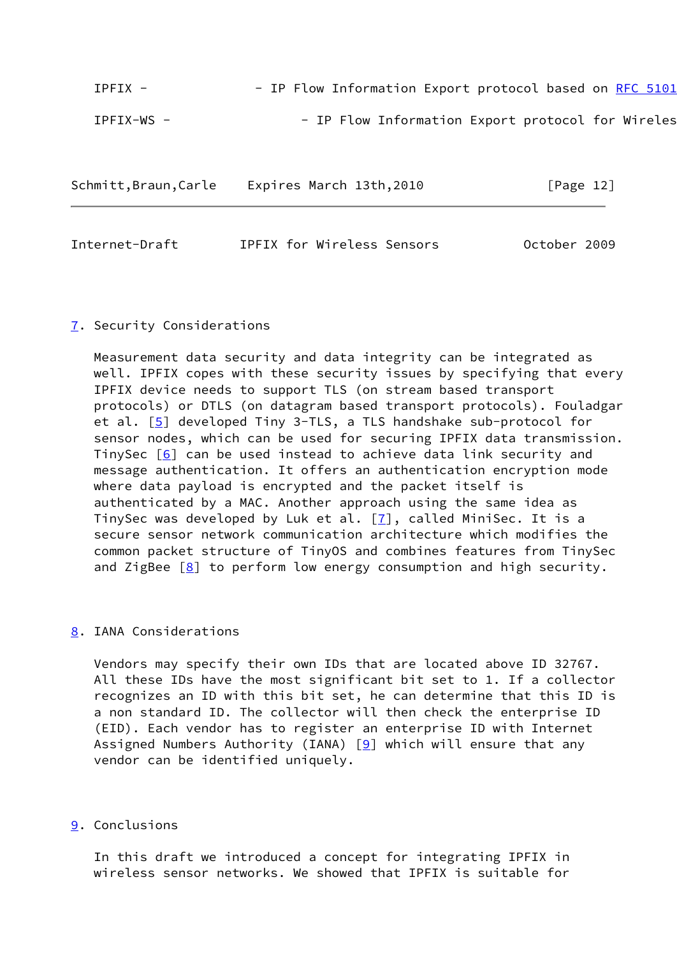| $T$ $P$ $T$ $X$ $-$ |  |  |  | - IP Flow Information Export protocol based on RFC 5101 |  |  |  |
|---------------------|--|--|--|---------------------------------------------------------|--|--|--|
| TPFIX-WS -          |  |  |  | - IP Flow Information Export protocol for Wireles       |  |  |  |

| Schmitt, Braun, Carle | Expires March 13th,2010 | [Page 12] |
|-----------------------|-------------------------|-----------|

<span id="page-13-1"></span>

| Internet-Draft | IPFIX for Wireless Sensors | October 2009 |
|----------------|----------------------------|--------------|

### <span id="page-13-0"></span>[7](#page-13-0). Security Considerations

 Measurement data security and data integrity can be integrated as well. IPFIX copes with these security issues by specifying that every IPFIX device needs to support TLS (on stream based transport protocols) or DTLS (on datagram based transport protocols). Fouladgar et al. [\[5](#page-14-6)] developed Tiny 3-TLS, a TLS handshake sub-protocol for sensor nodes, which can be used for securing IPFIX data transmission. TinySec  $[6]$  $[6]$  can be used instead to achieve data link security and message authentication. It offers an authentication encryption mode where data payload is encrypted and the packet itself is authenticated by a MAC. Another approach using the same idea as TinySec was developed by Luk et al.  $[7]$  $[7]$ , called MiniSec. It is a secure sensor network communication architecture which modifies the common packet structure of TinyOS and combines features from TinySec and ZigBee  $[8]$  $[8]$  to perform low energy consumption and high security.

### <span id="page-13-2"></span>[8](#page-13-2). IANA Considerations

 Vendors may specify their own IDs that are located above ID 32767. All these IDs have the most significant bit set to 1. If a collector recognizes an ID with this bit set, he can determine that this ID is a non standard ID. The collector will then check the enterprise ID (EID). Each vendor has to register an enterprise ID with Internet Assigned Numbers Authority (IANA)  $[9]$  $[9]$  which will ensure that any vendor can be identified uniquely.

### <span id="page-13-3"></span>[9](#page-13-3). Conclusions

 In this draft we introduced a concept for integrating IPFIX in wireless sensor networks. We showed that IPFIX is suitable for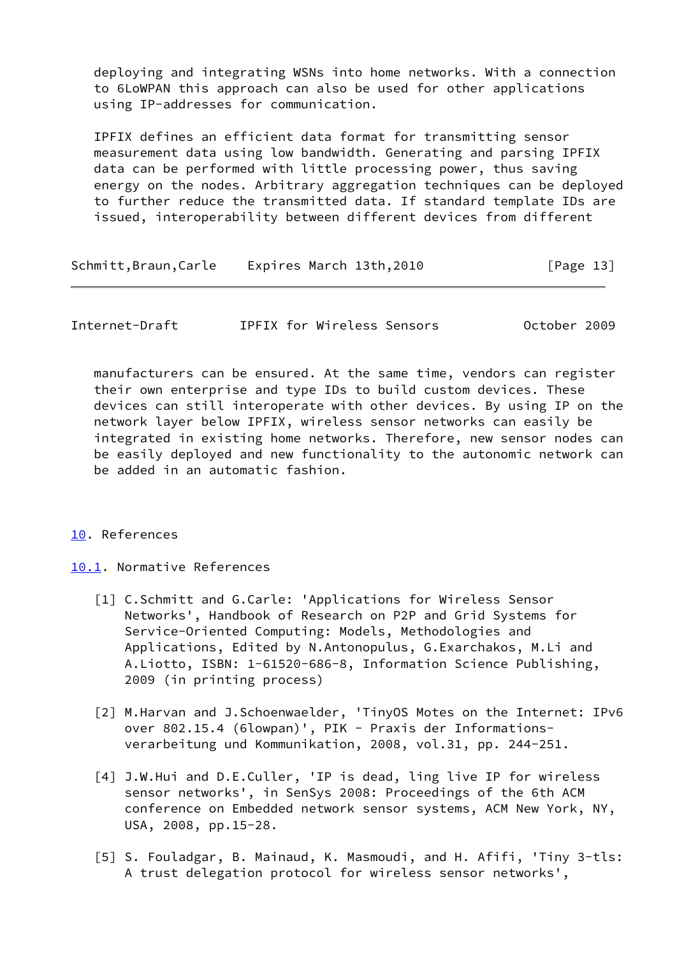deploying and integrating WSNs into home networks. With a connection to 6LoWPAN this approach can also be used for other applications using IP-addresses for communication.

 IPFIX defines an efficient data format for transmitting sensor measurement data using low bandwidth. Generating and parsing IPFIX data can be performed with little processing power, thus saving energy on the nodes. Arbitrary aggregation techniques can be deployed to further reduce the transmitted data. If standard template IDs are issued, interoperability between different devices from different

| Schmitt, Braun, Carle | Expires March 13th,2010 | [Page 13] |
|-----------------------|-------------------------|-----------|
|-----------------------|-------------------------|-----------|

<span id="page-14-1"></span>Internet-Draft IPFIX for Wireless Sensors October 2009

 manufacturers can be ensured. At the same time, vendors can register their own enterprise and type IDs to build custom devices. These devices can still interoperate with other devices. By using IP on the network layer below IPFIX, wireless sensor networks can easily be integrated in existing home networks. Therefore, new sensor nodes can be easily deployed and new functionality to the autonomic network can be added in an automatic fashion.

### <span id="page-14-0"></span>[10.](#page-14-0) References

<span id="page-14-2"></span>[10.1](#page-14-2). Normative References

- <span id="page-14-3"></span> [1] C.Schmitt and G.Carle: 'Applications for Wireless Sensor Networks', Handbook of Research on P2P and Grid Systems for Service-Oriented Computing: Models, Methodologies and Applications, Edited by N.Antonopulus, G.Exarchakos, M.Li and A.Liotto, ISBN: 1-61520-686-8, Information Science Publishing, 2009 (in printing process)
- <span id="page-14-5"></span> [2] M.Harvan and J.Schoenwaelder, 'TinyOS Motes on the Internet: IPv6 over 802.15.4 (6lowpan)', PIK - Praxis der Informations verarbeitung und Kommunikation, 2008, vol.31, pp. 244-251.
- <span id="page-14-4"></span> [4] J.W.Hui and D.E.Culler, 'IP is dead, ling live IP for wireless sensor networks', in SenSys 2008: Proceedings of the 6th ACM conference on Embedded network sensor systems, ACM New York, NY, USA, 2008, pp.15-28.
- <span id="page-14-6"></span> [5] S. Fouladgar, B. Mainaud, K. Masmoudi, and H. Afifi, 'Tiny 3-tls: A trust delegation protocol for wireless sensor networks',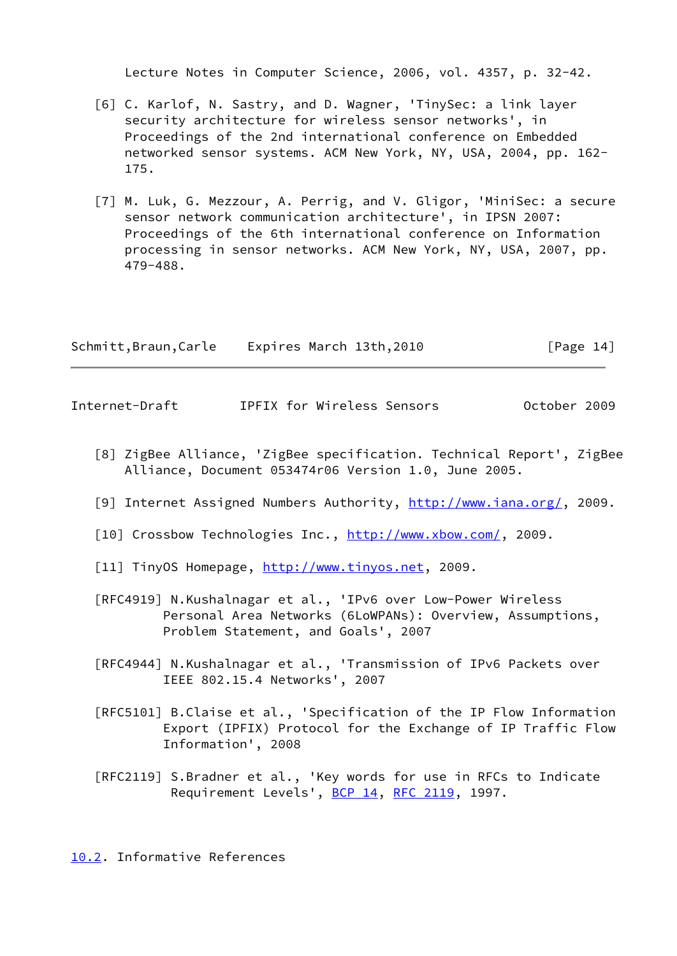Lecture Notes in Computer Science, 2006, vol. 4357, p. 32-42.

- <span id="page-15-4"></span> [6] C. Karlof, N. Sastry, and D. Wagner, 'TinySec: a link layer security architecture for wireless sensor networks', in Proceedings of the 2nd international conference on Embedded networked sensor systems. ACM New York, NY, USA, 2004, pp. 162- 175.
- <span id="page-15-5"></span> [7] M. Luk, G. Mezzour, A. Perrig, and V. Gligor, 'MiniSec: a secure sensor network communication architecture', in IPSN 2007: Proceedings of the 6th international conference on Information processing in sensor networks. ACM New York, NY, USA, 2007, pp. 479-488.

| Schmitt,Braun,Carle | Expires March 13th,2010 | [Page 14] |
|---------------------|-------------------------|-----------|
|---------------------|-------------------------|-----------|

<span id="page-15-1"></span>Internet-Draft IPFIX for Wireless Sensors October 2009

- <span id="page-15-6"></span> [8] ZigBee Alliance, 'ZigBee specification. Technical Report', ZigBee Alliance, Document 053474r06 Version 1.0, June 2005.
- <span id="page-15-7"></span>[9] Internet Assigned Numbers Authority,<http://www.iana.org/>, 2009.
- <span id="page-15-2"></span>[10] Crossbow Technologies Inc.,<http://www.xbow.com/>, 2009.
- <span id="page-15-3"></span>[11] TinyOS Homepage, [http://www.tinyos.net,](http://www.tinyos.net) 2009.
- [RFC4919] N.Kushalnagar et al., 'IPv6 over Low-Power Wireless Personal Area Networks (6LoWPANs): Overview, Assumptions, Problem Statement, and Goals', 2007
- [RFC4944] N.Kushalnagar et al., 'Transmission of IPv6 Packets over IEEE 802.15.4 Networks', 2007
- [RFC5101] B.Claise et al., 'Specification of the IP Flow Information Export (IPFIX) Protocol for the Exchange of IP Traffic Flow Information', 2008
- [RFC2119] S.Bradner et al., 'Key words for use in RFCs to Indicate Requirement Levels', [BCP 14](https://datatracker.ietf.org/doc/pdf/bcp14), [RFC 2119,](https://datatracker.ietf.org/doc/pdf/rfc2119) 1997.

<span id="page-15-0"></span>[10.2](#page-15-0). Informative References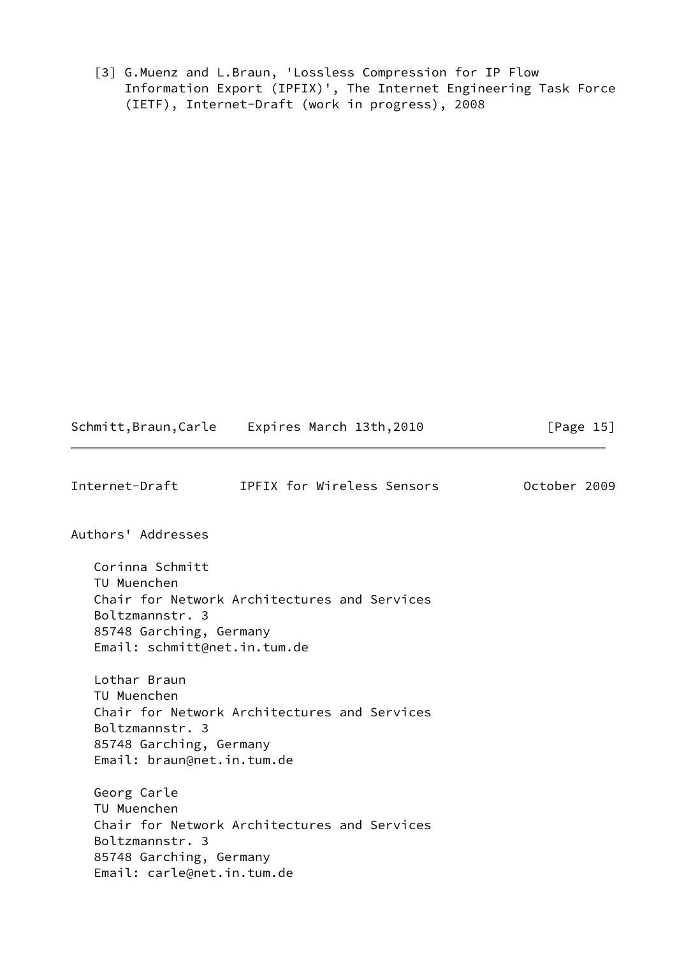<span id="page-16-1"></span> [3] G.Muenz and L.Braun, 'Lossless Compression for IP Flow Information Export (IPFIX)', The Internet Engineering Task Force (IETF), Internet-Draft (work in progress), 2008

<span id="page-16-0"></span>

| Internet-Draft                                                                                               | IPFIX for Wireless Sensors                   | October 2009 |
|--------------------------------------------------------------------------------------------------------------|----------------------------------------------|--------------|
| Authors' Addresses                                                                                           |                                              |              |
| Corinna Schmitt<br>TU Muenchen<br>Boltzmannstr. 3<br>85748 Garching, Germany<br>Email: schmitt@net.in.tum.de | Chair for Network Architectures and Services |              |
| Lothar Braun<br>TU Muenchen<br>Boltzmannstr. 3<br>85748 Garching, Germany<br>Email: braun@net.in.tum.de      | Chair for Network Architectures and Services |              |
| Georg Carle<br>TU Muenchen<br>Boltzmannstr. 3<br>85748 Garching, Germany<br>Email: carle@net.in.tum.de       | Chair for Network Architectures and Services |              |

Schmitt,Braun,Carle Expires March 13th,2010 [Page 15]